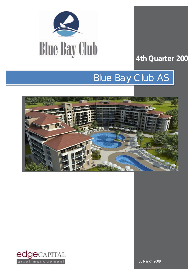

## **4th Quarter 2008**

# Blue Bay Club AS





30 March 2009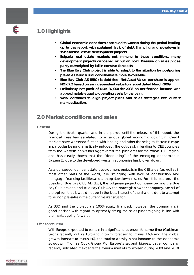

### **1.0 Highlights**

- **Global economic conditions continued to worsen during the period leading up to this report, with sustained lack of debt financing and slowdown in sales for real estate development projects.**
- **Bulgaria real estate markets not immune to these conditions, many development projects cancelled or put on hold. Pressure on sales prices partly outweighed by fall in construction costs.**
- **The Blue Bay Club project is able to adapt to the situation by postponing pre-sales launch until conditions are more favourable.**
- **Blue Bay Club AS (BBC) is debt-free. Net Asset Value per share is approx. NOK 7.2 based on an independent valuation report dated March 2009.**
- **Preliminary net profit of NOK 37,000 for 2008 as net finance income was approximately equal to operating costs for the year.**
- **Work continues to align project plans and sales strategies with current market situation.**

### **2.0 Market conditions and sales**

### **General**

During the fourth quarter and in the period until the release of this report, the financial crisis has escalated to a serious global economic downturn. Credit markets have worsened further, with lending and other financing to Eastern Europe in particular being dramatically reduced. The cut-back in lending to CEE countries from the western banks has aggravated the problems for the whole CEE region, and has clearly shown that the "decoupling" of the emerging economies in Eastern Europe to the developed western economies has broken down.

As a consequence, real estate development projects in the CEE area (as well as in most other parts of the world) are struggling with lack of construction and mortgage financing facilities and a sharp slowdown in sales. For this reason, the boards of Blue Bay Club AD (Ltd), the Bulgarian project company owning the Blue Bay Club project, and Blue Bay Club AS, the Norwegian owner company, are still of the opinion that it would not be in the best interest of the shareholders to attempt to launch pre-sales in the current market situation.

As BBC and the project are 100% equity financed, however, the company is in good position with regard to optimally timing the sales process going in line with the market going forward.

#### **Effect on tourism**

With Europe expected to remain in a significant recession for some time (Goldman Sachs recently cut its Euroland growth forecast to minus 3.6% and the global growth forecast to minus 1%), the tourism activity is not immune to the economic slowdown. Thomas Cook Group Plc, Europe's second biggest travel company, recently indicated it expects the tourism markets to worsen during 2009 and 2010.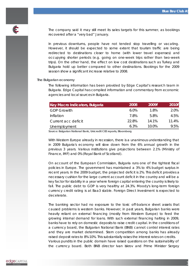

The company said it may still meet its sales targets for this summer, as bookings recovered after a "very bad" January.

In previous downturns, people have not tended stop travelling or vacating. However, it should be expected to some extent that tourism traffic are being redirected to destinations closer to home (with lower travel expenses) and occupying shorter periods (e.g. going on one-week trips rather than two-week trips). On the other hand, the effect on low cost destinations such as Turkey and Bulgaria hold up better compared to other destinations. Bookings for the 2009 season show a significant increase relative to 2008.

### **The Bulgarian economy**

The following information has been provided by Edge Capital's research team in Bulgaria. Edge Capital has compiled information and commentary from economic agencies and local sources in Bulgaria.

| Key Macro Indicators, Bulgaria | 2008    | 2009f | 2010f |
|--------------------------------|---------|-------|-------|
| <b>GDP Growith</b>             | $6.0\%$ | 1.8%  | 2.0%  |
| Inflation                      | 7.8%    | 5.8%  | 4.5%  |
| Current acc deficit            | 22.8%   | 14.1% | 11.4% |
| Unemployment                   | 6.3%    | 10.0% | 9.5%  |

*Source: Bulgarian National Bank, Unicredit CEE reports, Bloomberg* 

With Western Europe already in recession, there is a unanimous understanding that in 2009 Bulgaria's economy will slow down from the 6% annual growth in the previous 3 years. Various institutions give projections between 2.1% (Ministry of Finance, IMF) and 0% (Royal Bank of Scotland).

On account of the European Commission, Bulgaria runs one of the tightest fiscal policies in Europe. The government has maintained a 3% to 4% budget surplus in recent years. In the 2009 budget, the projected deficit is 2%. This deficit provides a necessary cushion for the large current account deficit in the country and will be a key factor for stability in a year where foreign capital entering the country is likely to fall. The public debt to GDP is very healthy at 24.3%. Moody's long-term foreign currency credit rating is at Baa3 stable. Foreign Direct Investment is expected to decelerate.

The banking sector had no exposure to the toxic off-balance sheet assets that caused problems is western banks. However, in past years, Bulgarian banks were heavily reliant on external financing (mostly from Western Europe) to feed the growing internal demand for loans. With such external financing halting in 2009, banks have to rely on domestic deposits to raise credit capital. In the conditions of a currency board, the Bulgarian National Bank (BNB) cannot control interest rates and they are market determined. Stern competition among banks has already raised deposit rates to 8%-10%. This substantially raises the interest rates on credits. Various pundits in the public domain have raised questions on the sustainability of the currency board. Both BNB director Ivan Iskrov and Prime Minister Sergey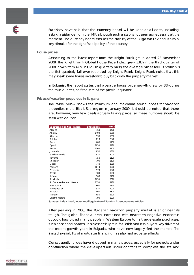

Stanishev have said that the currency board will be kept at all costs, including asking assistance from the IMF, although such a step is not seen as necessary at the moment. The currency board ensures the stability of the Bulgarian Lev and is also a key stimulus for the tight fiscal policy of the country.

### **House prices**

According to the latest report from the Knight Frank group dated 23 November 2008, the Knight Frank Global House Price Index grew 3.8% in the third quarter of 2008, down from 4.8% in Q2. On quarterly basis, the average prices fell 0.3% which is the first quarterly fall ever recorded by Knight Frank. Knight Frank notes that this may spark some house investors to buy back into the property market.

In Bulgaria, the report states that average house price growth grew by 3% during the third quarter, half the rate of the previous quarter.

### **Prices of vacation properties in Bulgaria**

The table below shows the minimum and maximum asking prices for vacation properties in the Black Sea region in January 2009. It should be noted that there are, however, very few deals actually taking place, so these numbers should be seen with caution.

| Vacation properties - Region | price range | €/m2 |
|------------------------------|-------------|------|
| Albena                       | 760         | 1400 |
| Aheloy                       | 1400        | 2850 |
| Ahtopol                      | 530         | 1050 |
| <b>Balchik</b>               | 810         | 2840 |
| Byala                        | 680         | 1750 |
| Dyuni                        | 1930        | 2420 |
| Elenite                      | 1360        | 2200 |
| Journalist                   | 850         | 1810 |
| Golden Sands                 | 920         | 3000 |
| Kavarna                      | 750         | 2120 |
| Nesebar                      | 700         | 2500 |
| Obzor                        | 740         | 1810 |
| Pomorie                      | 1040        | 1500 |
| Primorsko                    | 570         | 1540 |
| Ravda                        | 780         | 1980 |
| St. Vlas                     | 560         | 3160 |
| St. Nikola                   | 1050        | 2390 |
| St. Constantine and Helena   | 1150        | 2120 |
| <b>Sinemorets</b>            | 660         | 1340 |
| Sunny Beach                  | 530         | 4000 |
| Sozopol                      | 860         | 2300 |
| Tsarevo                      | 650         | 2200 |
| Chernomorets                 | 790         | 2200 |

*Sources: Index Imoti, indeximoti.bg; National Tourism Agency; news articles* 

After peaking in 2006, the Bulgarian vacation property market is at or near its trough. The global financial crisis, combined with near-term negative economic outlook, has forced many people in Western Europe to halt large-scale purchases, such as second homes. This is especially true for British and Irish buyers, key drivers of the recent growth years in Bulgaria, who have now largely fled the market. The limited availability of mortgage financing has also had adverse effects.

Consequently, prices have dropped in many places, especially for projects under construction where the developers are under contract to complete the site and

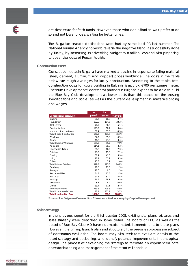

are desperate for fresh funds. However, those who can afford to wait prefer to do so and not lower prices, waiting for better times.

The Bulgarian seaside destinations were hurt by some bad PR last summer. The National Tourism Agency hopes to reverse the negative trend, as successfully done by Turkey, by increasing its advertising budget to 8 million Levs and also proposing to cover visa costs of Russian tourists.

### **Construction costs**

Construction costs in Bulgaria have marked a decline in response to falling material (steel, cement, aluminium and copper) prices worldwide. The costs in the table below are rough averages for luxury construction. According to the table, total construction costs for luxury building in Bulgaria is approx. €700 per square meter. (Platinum Developments' contractor partners in Bulgaria expect to be able to build the Blue Bay Club development at lower costs than this based on the existing specifications and scale, as well as the current development in materials pricing and wages).

|                                  | Lev                          | Euro     |            |
|----------------------------------|------------------------------|----------|------------|
| <b>Construction cost survey</b>  | per <sub>m<sup>2</sup></sub> | per $m2$ | % of tatal |
| Digging                          | 36.7                         | 18.8     | 2.7%       |
| Foundation                       | 322.0                        | 164.6    | 23.3%      |
| <b>Brick Laying</b>              | 70.9                         | 36.3     | 5.1%       |
| <b>Exterior finishes</b>         | 129.9                        | 66.4     | 9.4%       |
| Iron and other materials         | 68.4                         | 35.0     | 4.9%       |
| <b>Total Crude Constuction</b>   | 627.9                        | 321.0    | 45.4%      |
| Windows                          | 62.2                         | 31.8     | 4.5%       |
| Doors                            | 46.8                         | 23.9     | 3.4%       |
| <b>Total Doors &amp; Windows</b> | 109.0                        | 55.7     | 7.9%       |
| Plastering                       | 114.1                        | 58.3     | 8.3%       |
| Heating insulation               | 31.6                         | 16.2     | 2.3%       |
| Painting                         | 29.3                         | 15.0     | 2.1%       |
| Flooring                         | 81.4                         | 41.6     | 5.9%       |
| Lining                           | 72.7                         | 37.2     | 5.3%       |
| Others                           | 13.8                         | 7.1      | 1.0%       |
| <b>Total Interior Finishes</b>   | 342.9                        | 175.3    | 24.8%      |
| Plumbing                         | 26.6                         | 13.6     | 1.9%       |
| Sewage                           | 18.6                         | 9.5      | 1.3%       |
| Sanitary utilities               | 34.3                         | 17.5     | 2.5%       |
| Electrical                       | 61.5                         | 31.4     | 4.4%       |
| Heating                          | 76.5                         | 39.1     | 5.5%       |
| Telephone                        | 8.7                          | 4.4      | 0.6%       |
| Others                           | 33.4                         | 17.1     | 2.4%       |
| <b>Total Instalations</b>        | 259.6                        | 109.6    | 18.8%      |
| <b>Total Communal Conn</b>       | 43.4                         | 201.7    | 3.1%       |
| <b>Total Construction Cost</b>   | 1382.8                       | 707.0    | 100.0%     |

*Source: The Bulgarian Construction Chamber (cited in survey by Capital Newspaper)* 

#### **Sales strategy**

In the previous report for the third quarter 2008, existing site plans, pictures and sales strategy were described in some detail. The board of BBC as well as the board of Blue Bay Club AD have not made material amendments to these plans. However, the timing, launch plan and structure of the pre-sales process are subject of continuous evaluation. The board may also seek tore-evaluate details of the resort strategy and positioning, and identify potential improvements in conceptual design. The process of developing the strategy to facilitate an experienced hotel operator branding and management of the resort will continue.

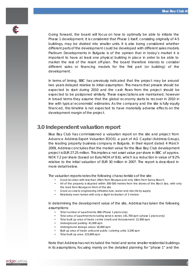

Going forward, the board will focus on how to optimally be able to initiate the Phase 1 development. It is considered that Phase 1 itself, consisting originally of 4-5 buildings, may be divided into smaller units. It is also being considered whether different parts of the development could be developed with different sales models. Platinum Developments in Bulgaria is of the opinion that in today's market it is important to have at least one physical building in place in order to be able to market the rest of the resort off-plan. The board therefore intends to consider different sales or financing models for the first part (or building) of the development.

In terms of timing, BBC has previously indicated that the project may be around two years delayed relative to initial assumption. This means that presale should be expected to start during 2010 and the cash flows from the project should be expected to be postponed similarly. These expectations are maintained, however in broad terms they assume that the global economy starts to recover in 2010 in line with typical economists' estimates. As the company and the site is fully equity financed, this timeline is not expected to have materially adverse effects on the development margin of the project.

### **3.0 Independent valuation report**

Blue Bay Club has commissioned a valuation report on the site and project from Advance Address Expert Valuation EOOD, a part of AG Capital (Address Group), the leading property business company in Bulgaria. In their report dated 4 March 2009, Address concludes that the market value for the Blue Bay Club development project is EUR 27.25 million. This implies a net asset value per share in BBC of approx. NOK 7.2 per share (based on Euro/NOK of 8.6), which is a reduction in value of 9.2% relative to the initial valuation of EUR 30 million in 2007. The report is described in more detail below.

The valuation reports notes the following characteristics of the site:

- Good location with less than 20km from Bourgas and only 18km from Sunny Beach
- All of the property is situated within 300-500 metres from the shores of the Black Sea, with only the road from Bourgas in front of the site
- Good access to engineering infrastructure, water and electricity supply
- Relatively even terrain with only a slight inclination of 3 meters

In determining the development value of the site, Address has taken the following assumptions:

- Total number of apartments: 866 (Phase 1 plans only)
- Total area of apartments including service zones: 141,700 sqm (phase 1 plans only)
- Total built up area of trade centre (mall) and its basement: 21,900 sqm
- Underground parking: 41,000 sqm
- Underground storage areas: 16,000 sqm
- Built up area of trade units and public catering units: 3,200 sqm
- Total built up area: 223,800 sqm

Note that Address has not included the hotel and some smaller residential buildings in its assumptions, focusing mainly on the detailed planning for "phase 1" and the

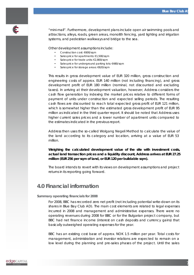

"mini-mall". Furthermore, development plans include open air swimming pools and attractions, alleys, roads, green areas, monolith fencing, yard lighting and irrigation systems, and pedestrian walkways and bridge to the sea.

Other development assumptions include:

- Construction cost: €600/sqm
- Sales price for apartments: €1,500/sqm
- Sales price for trade units: €2,800/sqm
- Sales price for underground parking lots: €480/sqm
- Sales price for storage areas: €620/sqm

This results in gross development value of EUR 320 million, gross construction and engineering costs of approx. EUR 140 million (not including financing), and gross development profit of EUR 180 million (nominal, not discounted and excluding taxes). In arriving at their development valuation, however, Address considers the cash flow generation by indexing the market prices relative to different forms of payment of units under construction and expected selling periods. The resulting cash flows are discounted to reach total expected gross profit of EUR 121 million, which is somewhat higher than the estimated gross development profit of EUR 95 million as indicated in the third quarter report. It should be noted that Address uses higher current sales prices and a lower number of apartment units compared to the estimates indicated in the previous report.

Address then uses the so-called Wolgang Negeli Method to calculate the value of the land according to its category and location, arriving at a value of EUR 53 million.

**Weighing the calculated development value of the site with investment costs, actual land transaction prices and a liquidity discount, Address arrives at EUR 27.25 million (EUR 256 per sqm of land, or EUR 120 per buildable sqm).** 

The board intends to revert with its views on development assumptions and project returns in its reporting going forward.

### **4.0 Financial information**

### **Summary operating financials for 2008**

For 2008, BBC has recorded zero net profit (not including potential write-down on its shares in Blue Bay Club AD). The main cost elements are related to legal expenses incurred in 2008 and management and administrative expenses. There were no operating revenues during 2008 for BBC or for the Bulgarian project company, but BBC had net finance income (interest on cash deposits and currency gains) that basically outweighed operating expenses for the year.

BBC has an existing cost base of approx. NOK 1.5 million per year. Total costs for management, administration and investor relations are expected to remain on a low level during the planning and pre-sales phases of the project. Until the sales

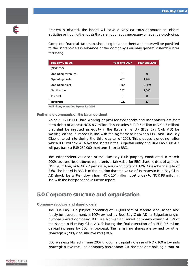process is initiated, the board will have a very cautious approach to initiate activities or incur further costs that are not directly necessary or revenue-producing.

Complete financial statements including balance sheet and notes will be provided to the shareholders in advance of the company's ordinary general assembly later this spring.

| <b>Blue Bay Club AS</b> | Year-end 2007 | Year-end 2008 |
|-------------------------|---------------|---------------|
| (NOK'000)               |               |               |
| Operating revenues      | 0             | $\Omega$      |
| Operating costs         | 467           | 1,469         |
| Operating profit        | $-467$        | $-1,469$      |
| Net finance             | 247           | 1,506         |
| Tax cost                | $\mathbf 0$   | $\mathbf 0$   |
| Net profit              | $-220$        | 37            |

*Preliminary operating figures for 2008* 

**Preliminary comments on the balance sheet** 

As of 31.12.08 BBC had working capital (cash/deposits and receivables less short term debt) of approx NOK 8.7 million. This includes EUR 0.5 million (NOK 4.3 million) that shall be injected as equity in the Bulgarian entity (Blue Bay Club AD) for working capital purposes in line with the agreement between BBC and Blue Bay Club entered into during the third quarter of 2008. This process is ongoing, after which BBC will hold 41.6% of the shares in the Bulgarian entity and Blue Bay Club AD will pay back a EUR 250,000 short term loan to BBC.

The independent valuation of the Blue Bay Club property conducted in March 2009, as described above, represents a fair value for BBC shareholders of approx. NOK 98 million, or NOK 7.2 per share, assuming current EUR/NOK exchange rate of 8.60. The board in BBC is of the opinion that the value of its shares in Blue Bay Club AD should be written down from NOK 104 million (cost price) to NOK 98 million in line with the independent valuation report.

### **5.0 Corporate structure and organisation**

### **Company structure and shareholders**

The Blue Bay Club project, consisting of 112,000 sqm of seaside land, zoned and ready for development, is 100% owned by Blue Bay Club AD, a Bulgarian singlepurpose limited company. BBC is a Norwegian limited company owning 41.6% of the shares in Blue Bay Club AD, following the final execution of a EUR 0.5 million capital increase by BBC (in process). The remaining shares are owned by other Norwegian (28%) and Irish investors (30%).

BBC was established in June 2007 through a capital increase of NOK 160m towards Norwegian investors. The company has approx. 270 shareholders holding a total of

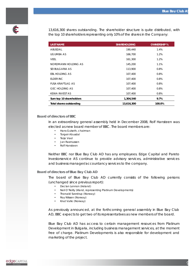

13,616,300 shares outstanding. The shareholder structure is quite distributed, with the top 10 shareholders representing only 10% of the shares in the Company:

| <b>LAST NAME</b>         | <b>SHAREHOLDING</b> | <b>OWNERSHIP %</b> |
|--------------------------|---------------------|--------------------|
| ABUSDAL                  | 190,440             | 1.4%               |
| <b>UGUMBA AS</b>         | 166,700             | 1.2%               |
| <b>VEEL</b>              | 161,300             | 1.2%               |
| NORDMANN HOLDING AS      | 145,200             | 1.1%               |
| SEI BULGARIA AS          | 113,900             | 0.8%               |
| EBL HOLDING AS           | 107,400             | 0.8%               |
| ELDER INC                | 107,400             | 0.8%               |
| <b>FUSA KRAFTLAG AS</b>  | 107,400             | 0.8%               |
| <b>GEC HOLDING AS</b>    | 107,400             | 0.8%               |
| <b>KEWA INVEST AS</b>    | 107,400             | 0.8%               |
| Sum top 10 shareholders  | 1,304,540           | 9.7%               |
| Total shares outstanding | 13,616,300          | 100.0%             |

#### **Board of directors of BBC**

In an extraordinary general assembly held in December 2008, Rolf Hansteen was elected as new board member of BBC. The board members are:

- Hans Gulseth, chairman
- Torgeir Abusdal
- Terie Veel
- Jan Rasmussen
- Rolf Hansteen

Neither BBC nor Blue Bay Club AD has any employees. Edge Capital and Pareto Investorservice AS continue to provide advisory services, administrative services and business manager/accountancy services to the company.

### **Board of directors of Blue Bay Club AD**

The board of Blue Bay Club AD currently consists of the following persons (unchanged since previous report):

- Declan Lennon (Ireland)
- Neil O'Reilly (Irland, representing Platinum Developments)
- Thorvald Sverdrup (Norway)
- Roy Nilssen (Norway)
- Knut Valle (Norway)

As previously announced, at the forthcoming general assembly in Blue Bay Club AD, BBC expects to get two of its representatives as new members of the board.

Blue Bay Club AD has access to certain management resources from Platinum Development in Bulgaria, including business management services, at the moment free of charge. Platinum Developments is also responsible for development and marketing of the project.

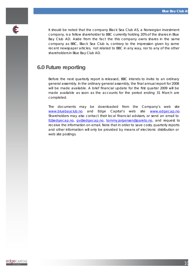

It should be noted that the company Black Sea Club AS, a Norwegian investment company, is a fellow shareholder to BBC currently holding 20% of the shares in Blue Bay Club AD. Aside from the fact the this company owns shares in the same company as BBC, Black Sea Club is, contrary to the impression given by some recent newspaper articles, not related to BBC in any way, nor to any of the other shareholders in Blue Bay Club AD.

### **6.0 Future reporting**

Before the next quarterly report is released, BBC intends to invite to an ordinary general assembly. In the ordinary general assembly, the final annual report for 2008 will be made available. A brief financial update for the first quarter 2009 will be made available as soon as the accounts for the period ending 31 March are completed.

The documents may be downloaded from the Company's web site [www.bluebayclub.no](http://www.bluebayclub.no) and Edge Capital's web site [www.edgecap.no](http://www.edgecap.no). Shareholders may also contact their local financial advisors, or send an email to [tt@edgecap.no](mailto:tt@edgecap.no), [gv@edgecap.no,](mailto:gv@edgecap.no) [tommy.jorgensen@pareto.no,](mailto:tommy.jorgensen@pareto.no) and request to receive the information on email. Note that in order to save costs, quarterly reports and other information will only be provided by means of electronic distribution or web site postings.